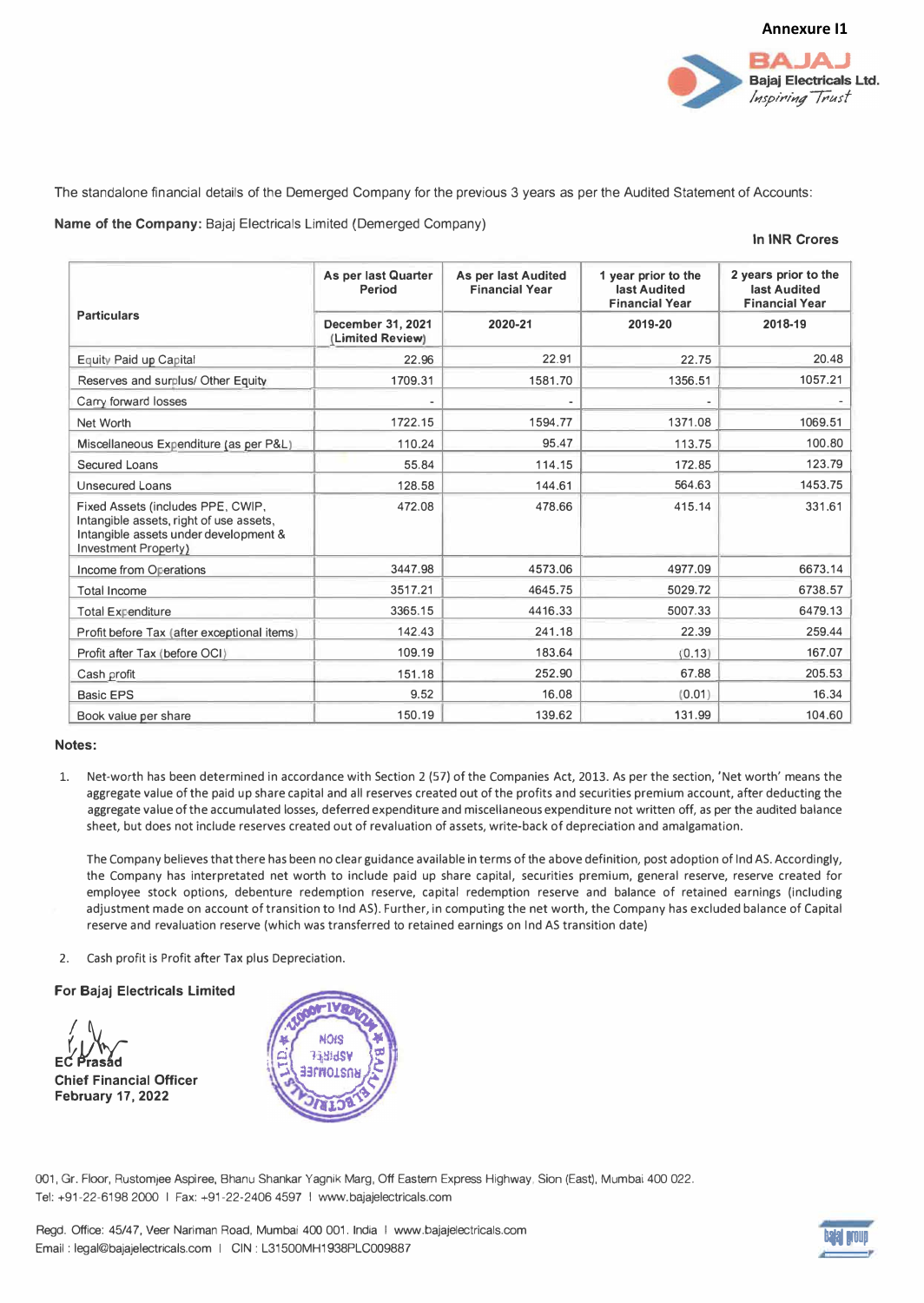

The standalone financial details of the Demerged Company for the previous 3 years as per the Audited Statement of Accounts:

**Name of the Company:** Bajaj Electricals Limited (Demerged Company)

## **In INR Crores**

| <b>Particulars</b>                                                                                                                                   | As per last Quarter<br><b>Period</b><br>December 31, 2021<br>(Limited Review) | As per last Audited<br><b>Financial Year</b><br>2020-21 | 1 year prior to the<br>last Audited<br><b>Financial Year</b><br>2019-20 | 2 years prior to the<br>last Audited<br><b>Financial Year</b><br>2018-19 |
|------------------------------------------------------------------------------------------------------------------------------------------------------|-------------------------------------------------------------------------------|---------------------------------------------------------|-------------------------------------------------------------------------|--------------------------------------------------------------------------|
|                                                                                                                                                      |                                                                               |                                                         |                                                                         |                                                                          |
| Reserves and surplus/ Other Equity                                                                                                                   | 1709.31                                                                       | 1581.70                                                 | 1356.51                                                                 | 1057.21                                                                  |
| Carry forward losses                                                                                                                                 |                                                                               |                                                         |                                                                         |                                                                          |
| Net Worth                                                                                                                                            | 1722.15                                                                       | 1594.77                                                 | 1371.08                                                                 | 1069.51                                                                  |
| Miscellaneous Expenditure (as per P&L)                                                                                                               | 110.24                                                                        | 95.47                                                   | 113.75                                                                  | 100.80                                                                   |
| Secured Loans                                                                                                                                        | 55.84                                                                         | 114.15                                                  | 172.85                                                                  | 123.79                                                                   |
| <b>Unsecured Loans</b>                                                                                                                               | 128.58                                                                        | 144.61                                                  | 564.63                                                                  | 1453.75                                                                  |
| Fixed Assets (includes PPE, CWIP,<br>Intangible assets, right of use assets,<br>Intangible assets under development &<br><b>Investment Property)</b> | 472.08                                                                        | 478.66                                                  | 415.14                                                                  | 331.61                                                                   |
| Income from Operations                                                                                                                               | 3447.98                                                                       | 4573.06                                                 | 4977.09                                                                 | 6673.14                                                                  |
| <b>Total Income</b>                                                                                                                                  | 3517.21                                                                       | 4645.75                                                 | 5029.72                                                                 | 6738.57                                                                  |
| <b>Total Expenditure</b>                                                                                                                             | 3365.15                                                                       | 4416.33                                                 | 5007.33                                                                 | 6479.13                                                                  |
| Profit before Tax (after exceptional items)                                                                                                          | 142.43                                                                        | 241.18                                                  | 22.39                                                                   | 259.44                                                                   |
| Profit after Tax (before OCI)                                                                                                                        | 109.19                                                                        | 183.64                                                  | (0.13)                                                                  | 167.07                                                                   |
| Cash profit                                                                                                                                          | 151.18                                                                        | 252.90                                                  | 67.88                                                                   | 205.53                                                                   |
| <b>Basic EPS</b>                                                                                                                                     | 9.52                                                                          | 16.08                                                   | (0.01)                                                                  | 16.34                                                                    |
| Book value per share                                                                                                                                 | 150.19                                                                        | 139.62                                                  | 131.99                                                                  | 104.60                                                                   |

## **Notes:**

Net-worth has been determined in accordance with Section 2 (57) of the Companies Act, 2013. As per the section, 'Net worth' means the aggregate value of the paid up share capital and all reserves created out of the profits and securities premium account, after deducting the aggregate value of the accumulated losses, deferred expenditure and miscellaneous expenditure not written off, as per the audited balance sheet, but does not include reserves created out of revaluation of assets, write-back of depreciation and amalgamation.

The Company believes that there has been no clear guidance available in terms of the above definition, post adoption of Ind AS. Accordingly, the Company has interpretated net worth to include paid up share capital, securities premium, general reserve, reserve created for employee stock options, debenture redemption reserve, capital redemption reserve and balance of retained earnings (including adjustment made on account of transition to Ind AS). Further, in computing the net worth, the Company has excluded balance of Capital reserve and revaluation reserve (which was transferred to retained earnings on Ind AS transition date)

2. Cash profit is Profit after Tax plus Depreciation.

## **For Bajaj Electricals Limited**





001, Gr. Floor, Rustomjee Aspiree, Bhanu Shankar Yagnik Marg, Off Eastern Express Highway, Sion (East), Mumbai 400 022. Tel: +91-22-6198 2000 I Fax: +91-22-2406 4597 I www.bajajelectricals.com